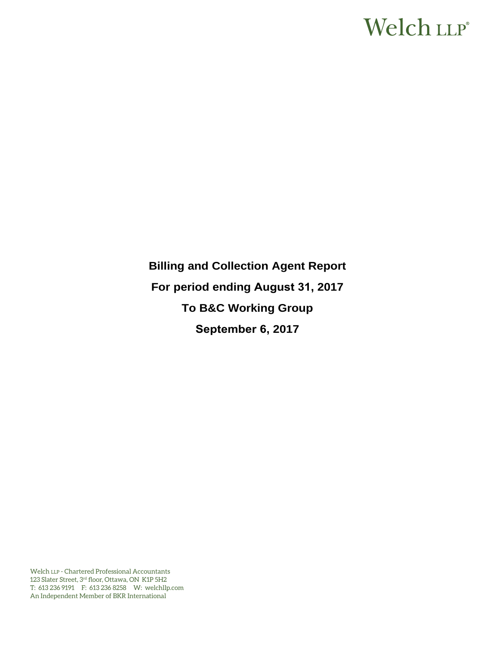# Welch LLP®

**Billing and Collection Agent Report For period ending August 31, 2017 To B&C Working Group September 6, 2017** 

Welch LLP - Chartered Professional Accountants 123 Slater Street, 3rd floor, Ottawa, ON K1P 5H2 T: 613 236 9191 F: 613 236 8258 W: welchllp.com An Independent Member of BKR International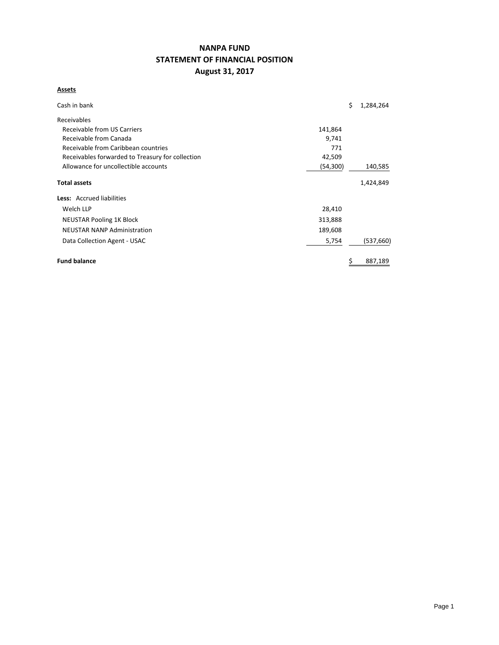## **NANPA FUND STATEMENT OF FINANCIAL POSITION August 31, 2017**

## **Assets**

| Cash in bank                                     |          | \$ | 1,284,264 |
|--------------------------------------------------|----------|----|-----------|
| Receivables                                      |          |    |           |
| Receivable from US Carriers                      | 141,864  |    |           |
| Receivable from Canada                           | 9,741    |    |           |
| Receivable from Caribbean countries              | 771      |    |           |
| Receivables forwarded to Treasury for collection | 42,509   |    |           |
| Allowance for uncollectible accounts             | (54,300) |    | 140,585   |
| <b>Total assets</b>                              |          |    | 1,424,849 |
| Less: Accrued liabilities                        |          |    |           |
| Welch LLP                                        | 28,410   |    |           |
| <b>NEUSTAR Pooling 1K Block</b>                  | 313,888  |    |           |
| <b>NEUSTAR NANP Administration</b>               | 189,608  |    |           |
| Data Collection Agent - USAC                     | 5,754    |    | (537,660) |
| <b>Fund balance</b>                              |          | Ş  | 887,189   |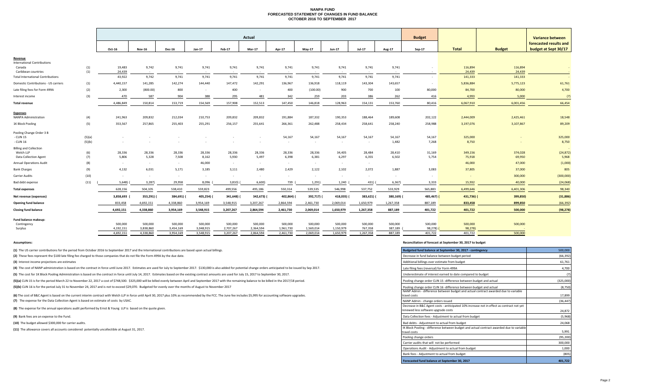#### **NANPA FUND FORECASTED STATEMENT OF CHANGES IN FUND BALANCE OCTOBER 2016 TO SEPTEMBER 2017**

|                                         |            |                  |                     |                 |                 |                        | Actual          |                 |                 |                 |                     |                 | <b>Budget</b> |                   |                   | <b>Variance between</b> |
|-----------------------------------------|------------|------------------|---------------------|-----------------|-----------------|------------------------|-----------------|-----------------|-----------------|-----------------|---------------------|-----------------|---------------|-------------------|-------------------|-------------------------|
|                                         |            |                  |                     |                 |                 |                        |                 |                 |                 |                 |                     |                 |               |                   |                   | forecasted results and  |
|                                         |            | Oct-16           | <b>Nov-16</b>       | <b>Dec-16</b>   | Jan-17          | Feb-17                 | <b>Mar-17</b>   | Apr-17          | May-17          | Jun-17          | <b>Jul-17</b>       | Aug-17          | Sep-17        | <b>Total</b>      | <b>Budget</b>     | budget at Sept 30/17    |
| Revenue                                 |            |                  |                     |                 |                 |                        |                 |                 |                 |                 |                     |                 |               |                   |                   |                         |
| <b>International Contributions</b>      |            |                  |                     |                 |                 |                        |                 |                 |                 |                 |                     |                 |               |                   |                   |                         |
| Canada<br>Caribbean countries           | (1)<br>(1) | 19,483<br>24,439 | 9,742<br>$\sim$ $-$ | 9,741<br>$\sim$ | 9,741<br>$\sim$ | 9,741<br>$\sim$ $\sim$ | 9,741<br>$\sim$ | 9,741<br>$\sim$ | 9,741<br>$\sim$ | 9,741<br>$\sim$ | 9,741<br>$\sim$ $-$ | 9,741<br>$\sim$ | $\sim$        | 116,894<br>24,439 | 116,894<br>24,439 | $\sim$                  |
| Total International Contributions       |            | 43,922           | 9,742               | 9,741           | 9,741           | 9,741                  | 9,741           | 9,741           | 9,741           | 9,741           | 9,741               | 9,741           | $\sim$        | 141,333           | 141,333           |                         |
| Domestic Contributions - US carriers    | (1)        | 4,440,157        | 141,285             | 142,274         | 144,440         | 147,472                | 142,291         | 136,967         | 136,918         | 118,119         | 143,304             | 143,657         | $\sim$        | 5,836,884         | 5,775,123         | 61,761                  |
| Late filing fees for Form 499A          | (2)        | 2,300            | (800.00)            | 800             | $\sim$          | 400                    | $\sim$          | 400             | (100.00)        | 900             | 700                 | 100             | 80,000        | 84,700            | 80,000            | 4,700                   |
| Interest income                         | (3)        | 470              | 587                 | 904             | 388             | 295                    | 481             | 342             | 259             | 203             | 386                 | 262             | 416           | 4,993             | 5,000             | (7)                     |
| <b>Total revenue</b>                    |            | 4,486,849        | 150,814             | 153,719         | 154,569         | 157,908                | 152,513         | 147,450         | 146,818         | 128,963         | 154,131             | 153,760         | 80,416        | 6,067,910         | 6,001,456         | 66,454                  |
|                                         |            |                  |                     |                 |                 |                        |                 |                 |                 |                 |                     |                 |               |                   |                   |                         |
| Expenses<br><b>NANPA Administration</b> | (4)        | 241,963          | 209,832             | 212,034         | 210,753         | 209,832                | 209,832         | 191,884         | 187,332         | 190,353         | 188,464             | 189,608         | 202,122       | 2,444,009         | 2,425,461         | 18,548                  |
| 1K Block Pooling                        | (5)        | 353,567          | 257,865             | 255,403         | 255,291         | 256,157                | 255,641         | 266,361         | 262,488         | 258,434         | 258,641             | 258,240         | 258,988       | 3,197,076         | 3,107,867         | 89,209                  |
| Pooling Change Order 3 B                |            |                  |                     |                 |                 |                        |                 |                 |                 |                 |                     |                 |               |                   |                   |                         |
| - CLIN 15                               | (5)(a)     |                  |                     |                 |                 |                        |                 | 54,167          | 54,167          | 54,167          | 54,167              | 54,167          | 54,167        | 325,000           |                   | 325,000                 |
| - CLIN 16                               | (5)(b)     | $\sim$           |                     |                 |                 |                        |                 | $\sim$          | $\sim$          | $\sim$          | $\sim$              | 1,482           | 7,268         | 8,750             |                   | 8,750                   |
| <b>Billing and Collection</b>           |            |                  |                     |                 |                 |                        |                 |                 |                 |                 |                     |                 |               |                   |                   |                         |
| Welch LLP                               | (6)        | 28,336           | 28,336              | 28,336          | 28,336          | 28,336                 | 28,336          | 28,336          | 28,336          | 34,405          | 28,484              | 28,410          | 31,169        | 349,156           | 374,028           | (24, 872)               |
| <b>Data Collection Agent</b>            | (7)        | 5,806            | 5,328               | 7,508           | 8,162           | 5,930                  | 5,497           | 6,398           | 6,381           | 6,297           | 6,355               | 6,502           | 5,754         | 75,918            | 69,950            | 5,968                   |
| <b>Annual Operations Audit</b>          | (8)        | $\sim$           | $\sim$ $-$          | $\sim$          | 46,000          | $\sim$                 | $\sim$          | $\sim$          | $\sim$          | $\sim$          | $\sim$              |                 |               | 46,000            | 47,000            | (1,000)                 |
| <b>Bank Charges</b>                     | (9)        | 4,132            | 6,031               | 5,171           | 3,185           | 3,111                  | 2,480           | 2,429           | 2,122           | 2,102           | 2,072               | 1,887           | 3,083         | 37,805            | 37,000            | 805                     |
| <b>Carrier Audits</b>                   | (10)       | $\sim$           | $\sim$ $-$          | $\sim$          | $\sim$          | $\sim$ $-$             |                 | $\sim$          | $\sim$          | $\sim$          | $\sim$              | $\sim$          |               | $\sim$            | 300,000           | (300,000)               |
| Bad debt expense                        | (11)       | 5,648)           | 3,287               | 29,958          | 8,096           | 3,810                  | 6,600)          | 739 (           | 1,291           | 1,240           | 431)                | 6,367)          | 3,333         | 15,932            | 40,000            | (24,068)                |
| <b>Total expenses</b>                   |            | 628,156          | 504,105             | 538,410         | 559,823         | 499,556                | 495,186         | 550,314         | 539,535         | 546,998         | 537,752             | 533,929         | 565,883       | 6,499,646         | 6,401,306         | 98,340                  |
| Net revenue (expenses)                  |            | 3,858,693        | 353,291)            | 384,691)        | 405,254)        | 341,648)               | 342,673)        | 402,864)        | 392,717) (      | 418,035)        | 383,621)            | 380,169)        | 485,467) (    | 431,736) (        | 399,850)          | (31, 886)               |
| <b>Opening fund balance</b>             |            | 833,458          | 4,692,151           | 4,338,860       | 3,954,169       | 3,548,915              | 3,207,267       | 2,864,594       | 2,461,730       | 2,069,014       | 1,650,979           | 1,267,358       | 887,189       | 833,458           | 899,850           | (66, 392)               |
| <b>Closing fund balance</b>             |            | 4,692,151        | 4,338,860           | 3,954,169       | 3,548,915       | 3,207,267              | 2,864,594       | 2,461,730       | 2,069,014       | 1,650,979       | 1,267,358           | 887,189         | 401,722       | 401,722           | 500,000           | (98, 278)               |
| Fund balance makeup:                    |            |                  |                     |                 |                 |                        |                 |                 |                 |                 |                     |                 |               |                   |                   |                         |
| Contingency                             |            | 500,000          | 500,000             | 500,000         | 500,000         | 500,000                | 500,000         | 500,000         | 500,000         | 500,000         | 500,000             | 500,000         | 500,000       | 500,000           | 500,000           |                         |
| Surplus                                 |            | 4,192,151        | 3,838,860           | 3,454,169       | 3,048,915       | 2,707,267              | 2,364,594       | 1,961,730       | 1,569,014       | 1,150,979       | 767,358             | 387,189         | $98,278$ )    | 98,278)           |                   |                         |

4,692,151 4,338,860 3,954,169 3,548,915 3,207,267 2,864,594 2,461,730 2,069,014 1,650,979 1,267,358 887,189 401,722 500,000

**(1)** The US carrier contributions for the period from October 2016 to September 2017 and the International contributions are based upon actual billings.

(2) These fees represent the \$100 late filing fee charged to those companies that do not file the Form 499A by the due date.

**(3)** Interest income projections are estimates

(4) The cost of NANP administration is based on the contract in force until June 2017. Estimates are used for July to September 2017. \$130,000 is also added for potential change orders anticipated to be issued by Sep 2017.

(5) The cost for 1K Block Pooling Administration is based on the contract in force until July 14, 2017. Estimates based on the existing contract amounts are used for July 15, 2017 to September 30, 2017.

(5)(a) CLIN 15 is for the period March 22 to November 22, 2017 a cost of \$748,500. \$325,000 will be billed evenly between April and September 2017 with the remaining balance to be billed in the 2017/18 period.

(5)(b) CLIN 16 is for the period July 31 to November 24, 2017 and is not to exceed \$29,070. Budgeted for evenly over the months of August to November 2017

**(7)** The expense for the Data Collection Agent is based on estimate of costs by USAC. (6) The cost of B&C Agent is based on the current interim contract with Welch LLP in force until April 30, 2017 plus 10% as recommended by the FCC. The June fee includes \$5,995 for accounting software upgrades.

**(8)** The expense for the annual operations audit performed by Ernst & Young LLP is based on the quote given.

**(9)** Bank fees are an expense to the Fund.

**(10)** The budget allowed \$300,000 for carrier audits.

**(11)** The allowance covers all accounts considered potentially uncollectible at August 31, 2017.

#### **Assumptions: Reconciliation of forecast at September 30, 2017 to budget**

| Budgeted fund balance at September 30, 2017 - contingency                                                | 500,000   |
|----------------------------------------------------------------------------------------------------------|-----------|
| Decrease in fund balance between budget period                                                           | (66, 392) |
| Additional billings over estimate from budget                                                            | 61,761    |
| Late filing fees (reversal) for Form 499A                                                                | 4,700     |
| Underestimate of interest earned to date compared to budget                                              | (7)       |
| Pooling change order CLIN 15 -difference between budget and actual                                       | (325,000) |
| Pooling change order CLIN 16 -difference between budget and actual                                       | (8,750)   |
| NANP Admin - difference between budget and actual contract awarded due to variable<br>travel costs       | 17,899    |
| NANP Admin - change orders issued                                                                        | (36, 447) |
| Decrease in B&C Agent costs - aniticipated 10% increase not in effect as contract not yet                |           |
| renewed less software upgrade costs                                                                      | 24,872    |
| Data Collection fees - Adjustment to actual from budget                                                  | (5,968)   |
| Bad debts - Adjustment to actual from budget                                                             | 24,068    |
| IK Block Pooling - difference between budget and actual contract awarded due to variable<br>travel costs | 5,991     |
| Pooling change orders                                                                                    | (95, 200) |
| Carrier audits that will not be performed                                                                | 300,000   |
| Operations Audit - Adjustment to actual from budget                                                      | 1.000     |
| Bank fees - Adjustment to actual from budget                                                             | (805)     |
| Forecasted fund balance at September 30, 2017                                                            | 401.722   |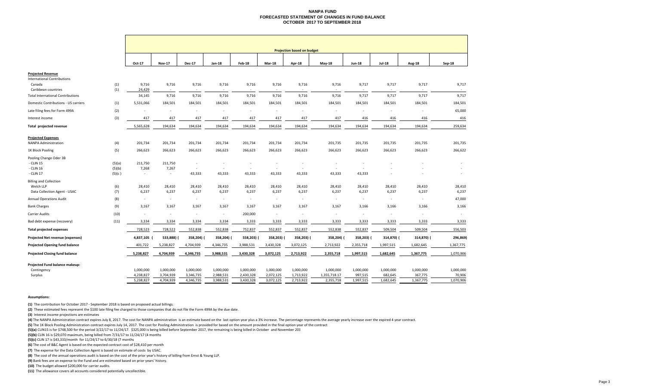#### **NANPA FUNDFORECASTED STATEMENT OF CHANGES IN FUND BALANCE OCTOBER 2017 TO SEPTEMBER 2018**

|                                                                            |            | <b>Projection based on budget</b> |                 |                          |                          |                          |                          |                 |                 |                 |                          |                 |                          |
|----------------------------------------------------------------------------|------------|-----------------------------------|-----------------|--------------------------|--------------------------|--------------------------|--------------------------|-----------------|-----------------|-----------------|--------------------------|-----------------|--------------------------|
|                                                                            |            | Oct-17                            | <b>Nov-17</b>   | <b>Dec-17</b>            | Jan-18                   | <b>Feb-18</b>            | Mar-18                   | Apr-18          | <b>May-18</b>   | <b>Jun-18</b>   | <b>Jul-18</b>            | <b>Aug-18</b>   | Sep-18                   |
| <b>Projected Revenue</b><br><b>International Contributions</b><br>Canada   | (1)        | 9,716                             | 9,716           | 9,716                    | 9,716                    | 9,716                    | 9,716                    | 9,716           | 9,716           | 9,717           | 9,717                    | 9,717           | 9,717                    |
| Caribbean countries                                                        | (1)        | 24,429                            | $\sim$          | $\sim$                   | $\sim$                   | $\overline{\phantom{a}}$ | $\sim$                   | $\sim$          | $\sim$          | $\sim$          | $\sim$                   | $\sim$          | $\overline{\phantom{a}}$ |
| <b>Total International Contributions</b>                                   |            | 34,145                            | 9,716           | 9,716                    | 9,716                    | 9,716                    | 9,716                    | 9,716           | 9,716           | 9,717           | 9,717                    | 9,717           | 9,717                    |
| Domestic Contributions - US carriers                                       | (1)        | 5,531,066                         | 184,501         | 184,501                  | 184,501                  | 184,501                  | 184,501                  | 184,501         | 184,501         | 184,501         | 184,501                  | 184,501         | 184,501                  |
| Late filing fees for Form 499A                                             | (2)        | $\overline{\phantom{a}}$          | $\sim$          | $\sim$                   | $\epsilon$               | $\sim$                   | $\overline{\phantom{a}}$ | $\sim$          | $\sim$          | $\sim$          | $\sim$                   | $\sim$          | 65,000                   |
| Interest income                                                            | (3)        | 417                               | 417             | 417                      | 417                      | 417                      | 417                      | 417             | 417             | 416             | 416                      | 416             | 416                      |
| Total projected revenue                                                    |            | 5,565,628                         | 194,634         | 194,634                  | 194,634                  | 194,634                  | 194,634                  | 194,634         | 194,634         | 194,634         | 194,634                  | 194,634         | 259,634                  |
| <b>Projected Expenses</b><br><b>NANPA Administration</b>                   | (4)        | 201,734                           | 201,734         | 201,734                  | 201,734                  | 201,734                  | 201,734                  | 201,734         | 201,735         | 201,735         | 201,735                  | 201,735         | 201,735                  |
| 1K Block Pooling                                                           | (5)        | 266,623                           | 266,623         | 266,623                  | 266,623                  | 266,623                  | 266,623                  | 266,623         | 266,623         | 266,623         | 266,623                  | 266,623         | 266,622                  |
| Pooling Change Oder 3B                                                     |            |                                   |                 |                          |                          |                          |                          |                 |                 |                 |                          |                 |                          |
| - CLIN 15                                                                  | (5)(a)     | 211,750                           | 211,750         | $\overline{\phantom{a}}$ |                          |                          | ٠                        | $\sim$          | ۰.              |                 |                          |                 |                          |
| - CLIN 16                                                                  | (5)(b)     | 7,268                             | 7,267           | $\sim$                   | $\overline{\phantom{a}}$ | $\epsilon$               | $\sim$                   | $\sim$          | $\sim$          | $\sim$          |                          |                 | $\overline{\phantom{a}}$ |
| - CLIN 17                                                                  | (5)(c)     | $\sim$                            | $\sim$          | 43,333                   | 43,333                   | 43,333                   | 43,333                   | 43,333          | 43,333          | 43,333          |                          |                 | $\overline{\phantom{a}}$ |
| <b>Billing and Collection</b><br>Welch LLP<br>Data Collection Agent - USAC | (6)<br>(7) | 28,410<br>6,237                   | 28,410<br>6,237 | 28,410<br>6,237          | 28,410<br>6,237          | 28,410<br>6,237          | 28,410<br>6,237          | 28,410<br>6,237 | 28,410<br>6,237 | 28,410<br>6,237 | 28,410<br>6,237          | 28,410<br>6,237 | 28,410<br>6,237          |
| <b>Annual Operations Audit</b>                                             | (8)        | $\sim$                            | $\sim$          | $\sim$                   | $\sim$                   | $\sim$                   | $\sim$                   | $\sim$          | $\sim$          | $\sim$          | $\sim$                   | $\sim$          | 47,000                   |
| <b>Bank Charges</b>                                                        | (9)        | 3,167                             | 3,167           | 3,167                    | 3,167                    | 3,167                    | 3,167                    | 3,167           | 3,167           | 3,166           | 3,166                    | 3,166           | 3,166                    |
| Carrier Audits                                                             | (10)       | $\sim$                            | $\sim$          | $\epsilon$               | $\overline{\phantom{a}}$ | 200,000                  | $\sim$                   | ×.              | $\sim$          | $\sim$          | $\overline{\phantom{a}}$ | $\sim$          |                          |
| Bad debt expense (recovery)                                                | (11)       | 3,334                             | 3,334           | 3,334                    | 3,334                    | 3,333                    | 3,333                    | 3,333           | 3,333           | 3,333           | 3,333                    | 3,333           | 3,333                    |
| <b>Total projected expenses</b>                                            |            | 728,523                           | 728,522         | 552,838                  | 552,838                  | 752,837                  | 552,837                  | 552,837         | 552,838         | 552,837         | 509,504                  | 509,504         | 556,503                  |
| <b>Projected Net revenue (expenses)</b>                                    |            | 4,837,105                         | 533,888)        | 358,204)                 | 358,204) (               | 558,203)                 | 358,203) (               | 358,203) (      | 358,204)        | 358,203) (      | 314,870) (               | 314,870) (      | 296,869)                 |
| Projected Opening fund balance                                             |            | 401,722                           | 5,238,827       | 4,704,939                | 4,346,735                | 3,988,531                | 3,430,328                | 3,072,125       | 2,713,922       | 2,355,718       | 1,997,515                | 1,682,645       | 1,367,775                |
| <b>Projected Closing fund balance</b>                                      |            | 5,238,827                         | 4,704,939       | 4,346,735                | 3,988,531                | 3,430,328                | 3,072,125                | 2,713,922       | 2,355,718       | 1,997,515       | 1,682,645                | 1,367,775       | 1,070,906                |
| Projected Fund balance makeup:                                             |            |                                   |                 |                          |                          |                          |                          |                 |                 |                 |                          |                 |                          |
| Contingency                                                                |            | 1,000,000                         | 1,000,000       | 1,000,000                | 1,000,000                | 1,000,000                | 1,000,000                | 1,000,000       | 1,000,000       | 1,000,000       | 1,000,000                | 1,000,000       | 1,000,000                |
| Surplus                                                                    |            | 4,238,827                         | 3,704,939       | 3,346,735                | 2,988,531                | 2,430,328                | 2,072,125                | 1,713,922       | 1,355,718.17    | 997,515         | 682,645                  | 367,775         | 70,906                   |
|                                                                            |            | 5,238,827                         | 4,704,939       | 4,346,735                | 3,988,531                | 3,430,328                | 3,072,125                | 2,713,922       | 2,355,718       | 1,997,515       | 1,682,645                | 1,367,775       | 1,070,906                |

#### **Assumptions:**

**(1)** The contribution for October 2017 ‐ September 2018 is based on proposed actual billings.

**(2)** These estimated fees represent the \$100 late filing fee charged to those companies that do not file the Form 499A by the due date.

**(3)** Interest income projections are estimates

(4) The NANPA Administration contract expires July 8, 2017. The cost for NANPA administration is an estimate based on the last option year plus a 3% increase. The percentage represents the average yearly increase over the

**(5)** The 1K Block Pooling Administration contract expires July 14, 2017. The cost for Pooling Administration is provided for based on the amount provided in the final option year of the contract

**(5)(a)** CLIN15 is for \$748,500 for the period 3/22/17 to 11/24/17. \$325,000 is being billed before September 2017, the remaining is being billed in October and November 201

**(5)(b)** CLIN 16 is \$29,070 maximum, being billed from 7/31/17 to 11/24/17 (4 months

**(5)(c)** CLIN <sup>17</sup> is \$43,333/month for 11/24/17 to 6/30/18 (7 months

**(6)** The cost of B&C Agent is based on the expected contract cost of \$28,410 per month

**(7)** The expense for the Data Collection Agent is based on estimate of costs by USAC.

**(8)** The cost of the annual operations audit is based on the cost of the prior year's history of billing from Ernst & Young LLP.

**(9)** Bank fees are an expense to the Fund and are estimated based on prior years' history.

**(10)** The budget allowed \$200,000 for carrier audits.

**(11)** The allowance covers all accounts considered potentially uncollectible.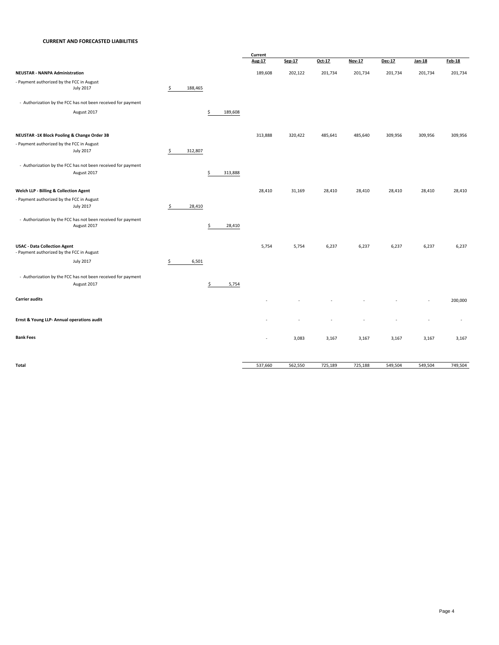#### **CURRENT AND FORECASTED LIABILITIES**

|                                                              |               |               | Current       |         |         |         |         |         |               |
|--------------------------------------------------------------|---------------|---------------|---------------|---------|---------|---------|---------|---------|---------------|
|                                                              |               |               | <b>Aug-17</b> | Sep-17  | Oct-17  | Nov-17  | Dec-17  | Jan-18  | <b>Feb-18</b> |
| <b>NEUSTAR - NANPA Administration</b>                        |               |               | 189,608       | 202,122 | 201,734 | 201,734 | 201,734 | 201,734 | 201,734       |
| - Payment authorized by the FCC in August                    |               |               |               |         |         |         |         |         |               |
| <b>July 2017</b>                                             | \$<br>188,465 |               |               |         |         |         |         |         |               |
| - Authorization by the FCC has not been received for payment |               |               |               |         |         |         |         |         |               |
| August 2017                                                  |               | 189,608<br>\$ |               |         |         |         |         |         |               |
| NEUSTAR -1K Block Pooling & Change Order 3B                  |               |               | 313,888       | 320,422 | 485,641 | 485,640 | 309,956 | 309,956 | 309,956       |
| - Payment authorized by the FCC in August                    |               |               |               |         |         |         |         |         |               |
| <b>July 2017</b>                                             | \$<br>312,807 |               |               |         |         |         |         |         |               |
| - Authorization by the FCC has not been received for payment |               |               |               |         |         |         |         |         |               |
| August 2017                                                  |               | \$<br>313,888 |               |         |         |         |         |         |               |
| Welch LLP - Billing & Collection Agent                       |               |               | 28,410        | 31,169  | 28,410  | 28,410  | 28,410  | 28,410  | 28,410        |
| - Payment authorized by the FCC in August                    |               |               |               |         |         |         |         |         |               |
| <b>July 2017</b>                                             | \$<br>28,410  |               |               |         |         |         |         |         |               |
| - Authorization by the FCC has not been received for payment |               |               |               |         |         |         |         |         |               |
| August 2017                                                  |               | \$<br>28,410  |               |         |         |         |         |         |               |
| <b>USAC - Data Collection Agent</b>                          |               |               | 5,754         | 5,754   | 6,237   | 6,237   | 6,237   | 6,237   | 6,237         |
| - Payment authorized by the FCC in August                    |               |               |               |         |         |         |         |         |               |
| <b>July 2017</b>                                             | \$<br>6,501   |               |               |         |         |         |         |         |               |
| - Authorization by the FCC has not been received for payment |               |               |               |         |         |         |         |         |               |
| August 2017                                                  |               | \$<br>5,754   |               |         |         |         |         |         |               |
| <b>Carrier audits</b>                                        |               |               |               |         |         |         |         |         | 200,000       |
| Ernst & Young LLP- Annual operations audit                   |               |               |               |         |         |         |         |         |               |
| <b>Bank Fees</b>                                             |               |               | ٠             | 3,083   | 3,167   | 3,167   | 3,167   | 3,167   | 3,167         |
|                                                              |               |               |               |         |         |         |         |         |               |
| Total                                                        |               |               | 537,660       | 562,550 | 725,189 | 725,188 | 549,504 | 549,504 | 749,504       |